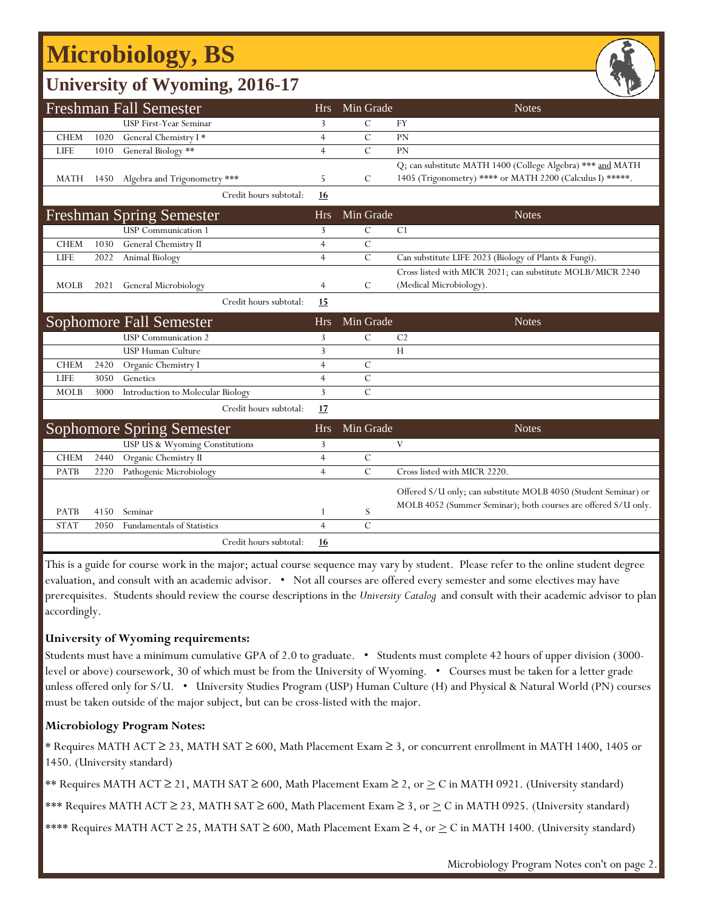## **Microbiology, BS**

## **University of Wyoming, 2016-17**

|             |      | <b>Freshman Fall Semester</b>     | <b>Hrs</b>     | Min Grade      | <b>Notes</b>                                                                                                                      |
|-------------|------|-----------------------------------|----------------|----------------|-----------------------------------------------------------------------------------------------------------------------------------|
|             |      | USP First-Year Seminar            | 3              | $\mathcal{C}$  | <b>FY</b>                                                                                                                         |
| <b>CHEM</b> | 1020 | General Chemistry I*              | $\overline{4}$ | $\overline{C}$ | PN                                                                                                                                |
| <b>LIFE</b> | 1010 | General Biology **                | $\overline{4}$ | $\mathcal{C}$  | PN                                                                                                                                |
|             |      |                                   |                |                | Q; can substitute MATH 1400 (College Algebra) *** and MATH                                                                        |
| MATH        | 1450 | Algebra and Trigonometry ***      | 5              | C              | 1405 (Trigonometry) **** or MATH 2200 (Calculus I) *****.                                                                         |
|             |      | Credit hours subtotal:            | <u>16</u>      |                |                                                                                                                                   |
|             |      | <b>Freshman Spring Semester</b>   | <b>Hrs</b>     | Min Grade      | <b>Notes</b>                                                                                                                      |
|             |      | <b>USP</b> Communication 1        | 3              | $\mathcal{C}$  | C <sub>1</sub>                                                                                                                    |
| <b>CHEM</b> | 1030 | General Chemistry II              | $\overline{4}$ | $\mathcal{C}$  |                                                                                                                                   |
| <b>LIFE</b> | 2022 | Animal Biology                    | $\overline{4}$ | $\mathcal{C}$  | Can substitute LIFE 2023 (Biology of Plants & Fungi).                                                                             |
|             |      |                                   |                |                | Cross listed with MICR 2021; can substitute MOLB/MICR 2240                                                                        |
| <b>MOLB</b> | 2021 | <b>General Microbiology</b>       | $\overline{4}$ | $\mathcal{C}$  | (Medical Microbiology).                                                                                                           |
|             |      | Credit hours subtotal:            | 15             |                |                                                                                                                                   |
|             |      | <b>Sophomore Fall Semester</b>    | <b>Hrs</b>     | Min Grade      | <b>Notes</b>                                                                                                                      |
|             |      | <b>USP</b> Communication 2        | 3              | $\overline{C}$ | C <sub>2</sub>                                                                                                                    |
|             |      | USP Human Culture                 | 3              |                | H                                                                                                                                 |
| <b>CHEM</b> | 2420 | Organic Chemistry I               | $\overline{4}$ | $\mathcal{C}$  |                                                                                                                                   |
| <b>LIFE</b> | 3050 | Genetics                          | $\overline{4}$ | $\mathcal{C}$  |                                                                                                                                   |
| <b>MOLB</b> | 3000 | Introduction to Molecular Biology | 3              | $\overline{C}$ |                                                                                                                                   |
|             |      | Credit hours subtotal:            | 17             |                |                                                                                                                                   |
|             |      | Sophomore Spring Semester         | <b>Hrs</b>     | Min Grade      | <b>Notes</b>                                                                                                                      |
|             |      | USP US & Wyoming Constitutions    | 3              |                | V                                                                                                                                 |
| <b>CHEM</b> | 2440 | Organic Chemistry II              | $\overline{4}$ | $\mathcal{C}$  |                                                                                                                                   |
| <b>PATB</b> | 2220 | Pathogenic Microbiology           | $\overline{4}$ | $\mathcal{C}$  | Cross listed with MICR 2220.                                                                                                      |
|             |      |                                   |                |                | Offered S/U only; can substitute MOLB 4050 (Student Seminar) or<br>MOLB 4052 (Summer Seminar); both courses are offered S/U only. |
| <b>PATB</b> | 4150 | Seminar                           | 1              | S              |                                                                                                                                   |
| <b>STAT</b> | 2050 | <b>Fundamentals of Statistics</b> | $\overline{4}$ | $\overline{C}$ |                                                                                                                                   |
|             |      | Credit hours subtotal:            | 16             |                |                                                                                                                                   |

This is a guide for course work in the major; actual course sequence may vary by student. Please refer to the online student degree evaluation, and consult with an academic advisor. • Not all courses are offered every semester and some electives may have prerequisites. Students should review the course descriptions in the *University Catalog* and consult with their academic advisor to plan accordingly.

#### **University of Wyoming requirements:**

Students must have a minimum cumulative GPA of 2.0 to graduate. • Students must complete 42 hours of upper division (3000 level or above) coursework, 30 of which must be from the University of Wyoming. • Courses must be taken for a letter grade unless offered only for S/U. • University Studies Program (USP) Human Culture (H) and Physical & Natural World (PN) courses must be taken outside of the major subject, but can be cross-listed with the major.

#### **Microbiology Program Notes:**

\* Requires MATH ACT ≥ 23, MATH SAT ≥ 600, Math Placement Exam ≥ 3, or concurrent enrollment in MATH 1400, 1405 or 1450. (University standard)

\*\* Requires MATH ACT ≥ 21, MATH SAT ≥ 600, Math Placement Exam ≥ 2, or > C in MATH 0921. (University standard)

\*\*\* Requires MATH ACT ≥ 23, MATH SAT ≥ 600, Math Placement Exam ≥ 3, or  $\geq C$  in MATH 0925. (University standard)

\*\*\*\* Requires MATH ACT  $\geq$  25, MATH SAT  $\geq$  600, Math Placement Exam  $\geq$  4, or  $\geq$  C in MATH 1400. (University standard)